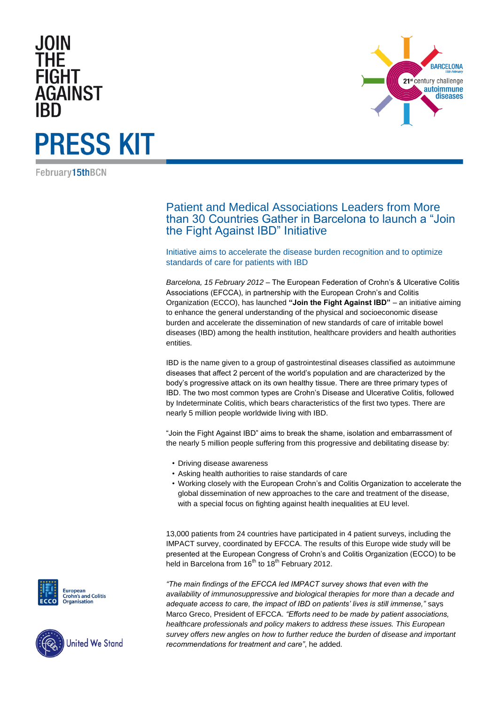### **JOIN FIGHT AGAINST**

## **PRESS KIT**

February15thBCN

Patient and Medical Associations Leaders from More than 30 Countries Gather in Barcelona to launch a "Join the Fight Against IBD" Initiative

Initiative aims to accelerate the disease burden recognition and to optimize standards of care for patients with IBD

*Barcelona, 15 February 2012* – The European Federation of Crohn's & Ulcerative Colitis Associations (EFCCA), in partnership with the European Crohn's and Colitis Organization (ECCO), has launched **"Join the Fight Against IBD"** – an initiative aiming to enhance the general understanding of the physical and socioeconomic disease burden and accelerate the dissemination of new standards of care of irritable bowel diseases (IBD) among the health institution, healthcare providers and health authorities entities.

IBD is the name given to a group of gastrointestinal diseases classified as autoimmune diseases that affect 2 percent of the world's population and are characterized by the body's progressive attack on its own healthy tissue. There are three primary types of IBD. The two most common types are Crohn's Disease and Ulcerative Colitis, followed by Indeterminate Colitis, which bears characteristics of the first two types. There are nearly 5 million people worldwide living with IBD.

"Join the Fight Against IBD" aims to break the shame, isolation and embarrassment of the nearly 5 million people suffering from this progressive and debilitating disease by:

- Driving disease awareness
- Asking health authorities to raise standards of care
- Working closely with the European Crohn's and Colitis Organization to accelerate the global dissemination of new approaches to the care and treatment of the disease, with a special focus on fighting against health inequalities at EU level.

13,000 patients from 24 countries have participated in 4 patient surveys, including the IMPACT survey, coordinated by EFCCA. The results of this Europe wide study will be presented at the European Congress of Crohn's and Colitis Organization (ECCO) to be held in Barcelona from  $16<sup>th</sup>$  to  $18<sup>th</sup>$  February 2012.

*"The main findings of the EFCCA led IMPACT survey shows that even with the availability of immunosuppressive and biological therapies for more than a decade and adequate access to care, the impact of IBD on patients" lives is still immense,"* says Marco Greco, President of EFCCA. *"Efforts need to be made by patient associations, healthcare professionals and policy makers to address these issues. This European survey offers new angles on how to further reduce the burden of disease and important recommendations for treatment and care"*, he added.





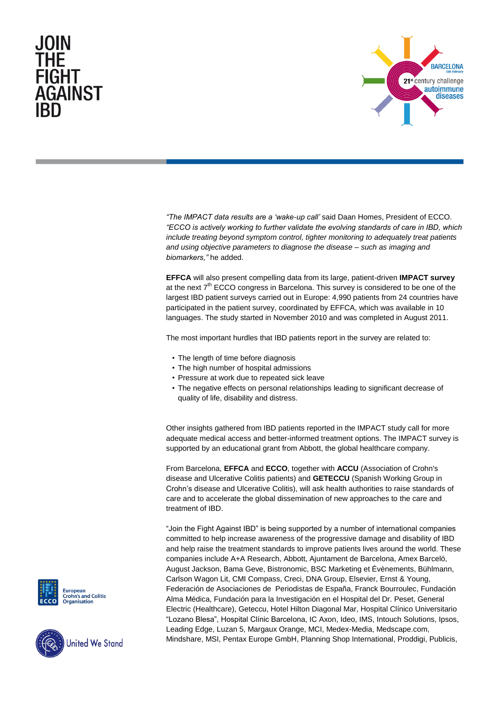# FIGHT **AGAINST**



*"The IMPACT data results are a "wake-up call"* said Daan Homes, President of ECCO. *"ECCO is actively working to further validate the evolving standards of care in IBD, which include treating beyond symptom control, tighter monitoring to adequately treat patients and using objective parameters to diagnose the disease – such as imaging and biomarkers,"* he added.

**EFFCA** will also present compelling data from its large, patient-driven **IMPACT survey** at the next  $7<sup>th</sup>$  ECCO congress in Barcelona. This survey is considered to be one of the largest IBD patient surveys carried out in Europe: 4,990 patients from 24 countries have participated in the patient survey, coordinated by EFFCA, which was available in 10 languages. The study started in November 2010 and was completed in August 2011.

The most important hurdles that IBD patients report in the survey are related to:

- The length of time before diagnosis
- The high number of hospital admissions
- Pressure at work due to repeated sick leave
- The negative effects on personal relationships leading to significant decrease of quality of life, disability and distress.

Other insights gathered from IBD patients reported in the IMPACT study call for more adequate medical access and better-informed treatment options. The IMPACT survey is supported by an educational grant from Abbott, the global healthcare company.

From Barcelona, **EFFCA** and **ECCO**, together with **ACCU** (Association of Crohn's disease and Ulcerative Colitis patients) and **GETECCU** (Spanish Working Group in Crohn's disease and Ulcerative Colitis), will ask health authorities to raise standards of care and to accelerate the global dissemination of new approaches to the care and treatment of IBD.

"Join the Fight Against IBD" is being supported by a number of international companies committed to help increase awareness of the progressive damage and disability of IBD and help raise the treatment standards to improve patients lives around the world. These companies include A+A Research, Abbott, Ajuntament de Barcelona, Amex Barceló, August Jackson, Bama Geve, Bistronomic, BSC Marketing et Évènements, Bühlmann, Carlson Wagon Lit, CMI Compass, Creci, DNA Group, Elsevier, Ernst & Young, Federación de Asociaciones de Periodistas de España, Franck Bourroulec, Fundación Alma Médica, Fundación para la Investigación en el Hospital del Dr. Peset, General Electric (Healthcare), Geteccu, Hotel Hilton Diagonal Mar, Hospital Clínico Universitario "Lozano Blesa", Hospital Clínic Barcelona, IC Axon, Ideo, IMS, Intouch Solutions, Ipsos, Leading Edge, Luzan 5, Margaux Orange, MCI, Medex-Media, Medscape.com, Mindshare, MSI, Pentax Europe GmbH, Planning Shop International, Proddigi, Publicis,